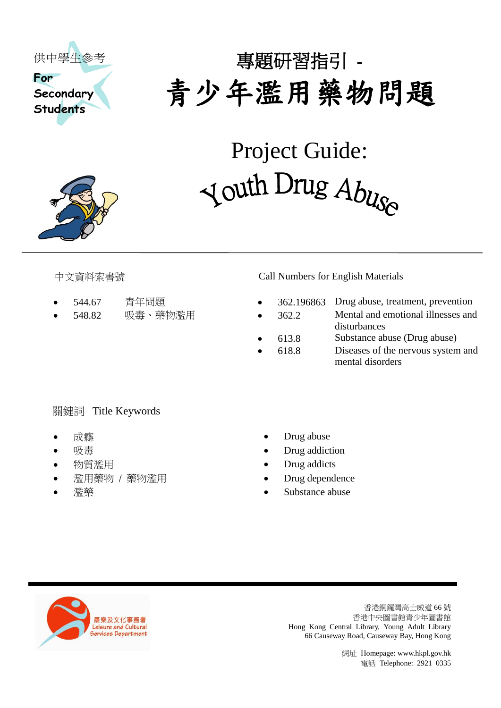

# 專題研習指引 - 青少年濫用藥物問題

Project Guide: Youth Drug Abuse



- 
- 

# 中文資料索書號 Call Numbers for English Materials

- 544.67 青年問題 362.196863 Drug abuse, treatment, prevention
- 548.82 吸毒、藥物濫用 362.2 Mental and emotional illnesses and disturbances
	- 613.8 Substance abuse (Drug abuse)
	- 618.8 Diseases of the nervous system and mental disorders

# 關鍵詞 Title Keywords

- 
- 
- 
- 濫用藥物 / 藥物濫用 → → → → Drug dependence
- 
- 成癮 Drug abuse
- 吸毒 Drug addiction
- 物質濫用 Drug addicts
	-
	- 濫藥 Substance abuse



香港銅鑼灣高士威道 66 號 香港中央圖書館青少年圖書館 Hong Kong Central Library, Young Adult Library 66 Causeway Road, Causeway Bay, Hong Kong

> 網址 Homepage[: www.hkpl.gov.hk](http://www.hkpl.gov.hk/) 電話 Telephone: 2921 0335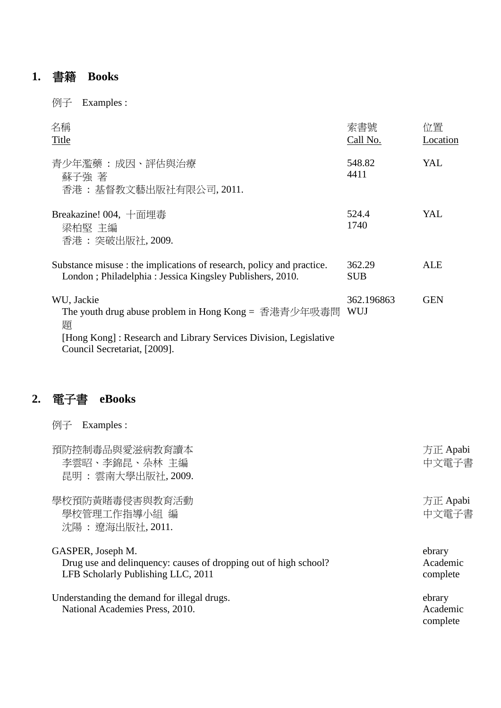# **1.** 書籍 **Books**

例子 Examples :

| 名稱<br>Title                                                                                                                                                                 | 索書號<br>Call No.      | 位置<br>Location |
|-----------------------------------------------------------------------------------------------------------------------------------------------------------------------------|----------------------|----------------|
| 青少年濫藥 : 成因、評估與治療<br>蘇子強 著<br>香港: 基督教文藝出版社有限公司, 2011.                                                                                                                        | 548.82<br>4411       | YAL            |
| Breakazine! 004, 十面埋毒<br>梁柏堅 主編<br>香港 : 突破出版社, 2009.                                                                                                                        | 524.4<br>1740        | YAL.           |
| Substance misuse : the implications of research, policy and practice.<br>London; Philadelphia: Jessica Kingsley Publishers, 2010.                                           | 362.29<br><b>SUB</b> | ALE            |
| WU, Jackie<br>The youth drug abuse problem in Hong Kong = 香港青少年吸毒問<br>顥<br>[Hong Kong]: Research and Library Services Division, Legislative<br>Council Secretariat, [2009]. | 362.196863<br>WUJ    | <b>GEN</b>     |

# **2.** 電子書 **eBooks**

例子 Examples :

| 預防控制毒品與愛滋病教育讀本<br>李雲昭、李錦昆、朵林 主編<br>昆明 : 雲南大學出版社, 2009.                                                                      | 方正 Apabi<br>中文電子書              |
|-----------------------------------------------------------------------------------------------------------------------------|--------------------------------|
| 學校預防黃賭毒侵害與教育活動<br>學校管理工作指導小組 編<br>沈陽 : 遼海出版社, 2011.                                                                         | 方正 Apabi<br>中文電子書              |
| GASPER, Joseph M.<br>Drug use and delinquency: causes of dropping out of high school?<br>LFB Scholarly Publishing LLC, 2011 | ebrary<br>Academic<br>complete |
| Understanding the demand for illegal drugs.<br>National Academies Press, 2010.                                              | ebrary<br>Academic<br>complete |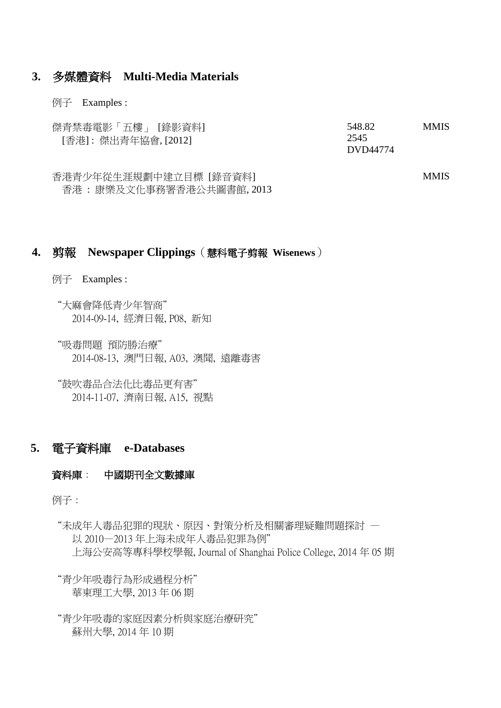#### **3.** 多媒體資料 **Multi-Media Materials**

#### 例子 Examples :

| 傑青禁毒電影「五樓」 [錄影資料]   | 548.82   | <b>MMIS</b> |
|---------------------|----------|-------------|
| [香港]:傑出青年協會, [2012] | 2545     |             |
|                     | DVD44774 |             |

香港青少年從生涯規劃中建立目標 [錄音資料] 香港 : 康樂及文化事務署香港公共圖書館, 2013 MMIS

# **4.** 剪報 **Newspaper Clippings**(慧科電子剪報 **Wisenews**)

- 例子 Examples :
	- "大麻會降低青少年智商" 2014-09-14, 經濟日報, P08, 新知
	- "吸毒問題 預防勝治療" 2014-08-13, 澳門日報, A03, 澳聞, 遠離毒害
	- "鼓吹毒品合法化比毒品更有害" 2014-11-07, 濟南日報, A15, 視點

### **5.** 電子資料庫 **e-Databases**

#### 資料庫: 中國期刊全文數據庫

例子:

"未成年人毒品犯罪的現狀、原因、對策分析及相關審理疑難問題探討 — 以 2010—2013 年上海未成年人毒品犯罪為例" 上海公安高等專科學校學報, Journal of Shanghai Police College, 2014 年 05 期

"青少年吸毒行為形成過程分析" 華東理工大學, 2013 年 06 期

"青少年吸毒的家庭因素分析與家庭治療研究" 蘇州大學, 2014 年 10 期